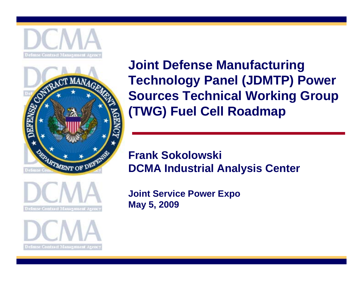





**Defense Contract Management Agency** 

**Joint Defense Manufacturing Technology Panel (JDMTP) Power Sources Technical Working Group (TWG) Fuel Cell Roadmap** 

#### **Frank Sokolowski DCMA Industrial Analysis Center**

**Joint Service Power Expo May 5, 2009**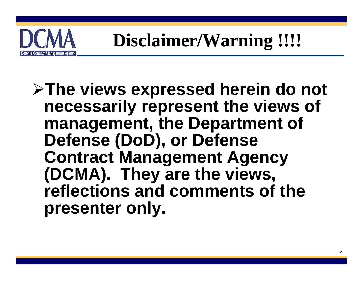

#### **Disclaimer/Warning !!!!**

#### **The views expressed herein do not necessarily represent the views of management, the Department of Defense (DoD), or Defense Contract Management Agency (DCMA). They are the views, reflections and comments of the presenter only.**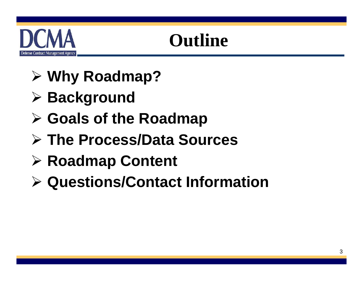

#### **Outline**

- **Why Roadmap?**
- **Background**
- **Goals of the Roadmap**
- **The Process/Data Sources**
- **Roadmap Content**
- **Questions/Contact Information**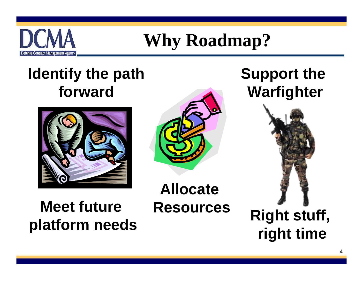

#### **Why Roadmap?**

#### **Identify the path forward**



#### **Meet future Resources Produces Right stuff,** platform needs **Right time**

**Allocate** 

#### **Support the Warfighter**

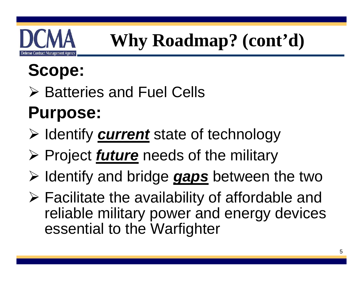

# **Why Roadmap? (cont'd)**

#### **Scope:**

**≻ Batteries and Fuel Cells** 

# **Purpose:**

- > Identify **current** state of technology
- > Project *future* needs of the military
- $\triangleright$  Identify and bridge *gaps* between the two
- $\triangleright$  Facilitate the availability of affordable and reliable military power and energy devices essential to the Warfighter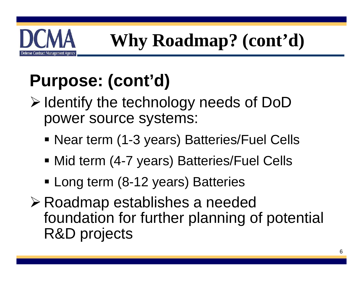# **Why Roadmap? (cont'd)**

# **Purpose: (cont'd)**

Defense Contract Management Agency

- $\triangleright$  Identify the technology needs of DoD power source systems:
	- Near term (1-3 years) Batteries/Fuel Cells
	- Mid term (4-7 years) Batteries/Fuel Cells
	- **Earth Long term (8-12 years) Batteries**
- Roadmap establishes a needed foundation for further planning of potential R&D projects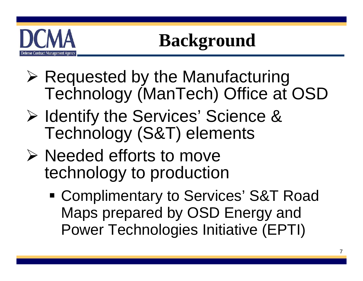

## **Background**

- $\triangleright$  Requested by the Manufacturing Technology (ManTech) Office at OSD
- **▶ Identify the Services' Science &** Technology (S&T) elements
- $\triangleright$  Needed efforts to move technology to production
	- Complimentary to Services' S&T Road Maps prepared by OSD Energy and Power Technologies Initiative (EPTI)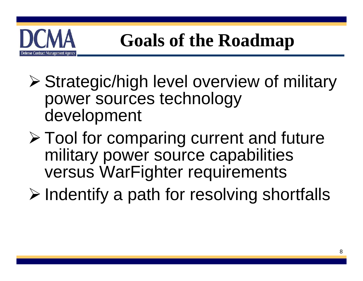

- Strategic/high level overview of military power sources technology development
- Tool for comparing current and future military power source capabilities versus WarFighter requirements
- $\triangleright$  Indentify a path for resolving shortfalls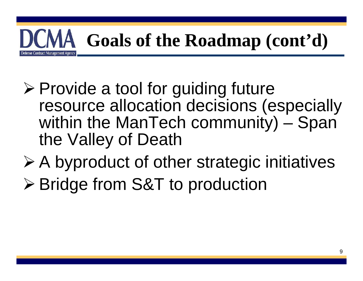

- $\triangleright$  Provide a tool for guiding future resource allocation decisions (especially within the ManTech community) – Span the Valley of Death
- A byproduct of other strategic initiatives
- Bridge from S&T to production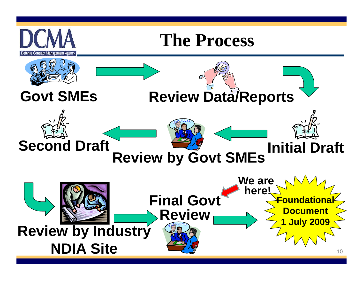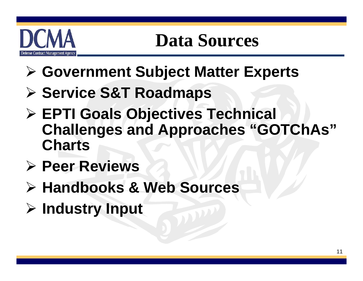# letense Contract Management Agency

#### **Data Sources**

- **Government Subject Matter Experts**
- **Service S&T Roadmaps**
- **EPTI Goals Objectives Technical Challenges and Approaches "GOTChAs" Charts**
- **Peer Reviews**
- **Handbooks & Web Sources**
- **Industry Input**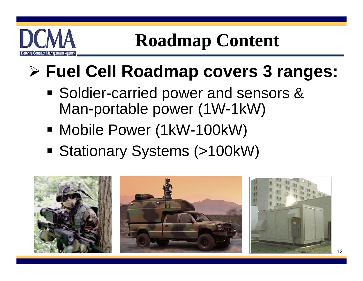

**Roadmap Content** 

- **Fuel Cell Roadmap covers 3 ranges:**
	- **Soldier-carried power and sensors &** Man-portable power (1W-1kW)
	- Mobile Power (1kW-100kW)
	- Stationary Systems (>100kW)

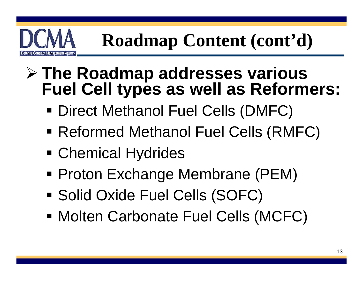- $\triangleright$  The Roadmap addresses various **Fuel Cell types as well as Reformers:** 
	- Direct Methanol Fuel Cells (DMFC)
	- Reformed Methanol Fuel Cells (RMFC)
	- **Exercical Hydrides**

efense Contract Management Agency

- Proton Exchange Membrane (PEM)
- Solid Oxide Fuel Cells (SOFC)
- Molten Carbonate Fuel Cells (MCFC)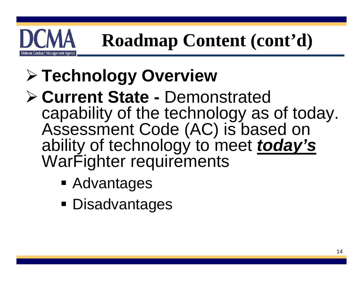

- **Technology Overview**
- **Current State** Demonstrated capability of the technology as of today. Assessment Code (AC) is based on ability of technology to meet *today's*  WarFighter requirements
	- Advantages
	- Disadvantages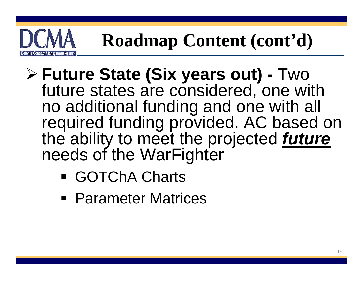

- **Future State (Six years out)** Two future states are considered, one with no additional funding and one with all required funding provided. AC based on the ability to meet the projected *future*  needs of the WarFighter
	- GOTChA Charts
	- Parameter Matrices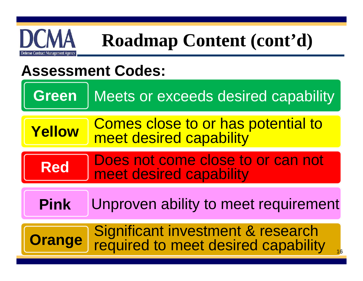

#### **Assessment Codes:**

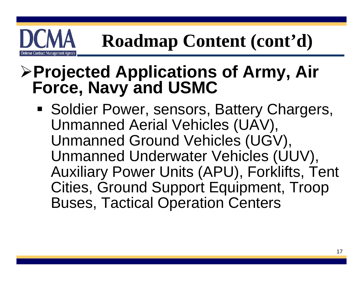# **Projected Applications of Army, Air Force, Navy and USMC**

tense Contract Management Agency

**Soldier Power, sensors, Battery Chargers,** Unmanned Aerial Vehicles (UAV), Unmanned Ground Vehicles (UGV), Unmanned Underwater Vehicles (UUV), Auxiliary Power Units (APU), Forklifts, Tent Cities, Ground Support Equipment, Troop Buses, Tactical Operation Centers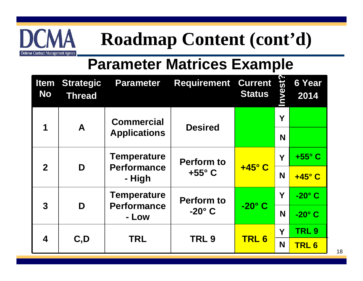

#### **Parameter Matrices Example**

| <b>Item</b><br><b>No</b> | <b>Strategic</b><br><b>Thread</b>                                  | <b>Parameter</b>                         | <b>Requirement</b>                 | <b>Current</b><br><b>Status</b> | nvest? | <b>6 Year</b><br>2014 |
|--------------------------|--------------------------------------------------------------------|------------------------------------------|------------------------------------|---------------------------------|--------|-----------------------|
| 1                        | A                                                                  | <b>Commercial</b><br><b>Desired</b>      |                                    |                                 | Y      |                       |
|                          |                                                                    | <b>Applications</b>                      |                                    |                                 | N      |                       |
| $\overline{2}$           | <b>Temperature</b><br><b>Perform to</b><br><b>Performance</b><br>D |                                          | Y                                  | $+55^{\circ}$ C                 |        |                       |
|                          |                                                                    | - High                                   | $+55^{\circ}$ C                    | $+45^\circ$ C                   | N      | $+45^\circ$ C         |
| 3                        | D                                                                  | <b>Temperature</b><br><b>Performance</b> | <b>Perform to</b><br>$-20^\circ$ C | $-20^\circ$ C                   | Y      | $-20^\circ$ C         |
|                          |                                                                    | - Low                                    |                                    |                                 | N      | $-20^\circ$ C         |
| 4                        | C, D                                                               | <b>TRL</b>                               | TRL <sub>9</sub>                   | <b>TRL6</b>                     | Υ      | TRL <sub>9</sub>      |
|                          |                                                                    |                                          |                                    |                                 | N      | <b>TRL6</b>           |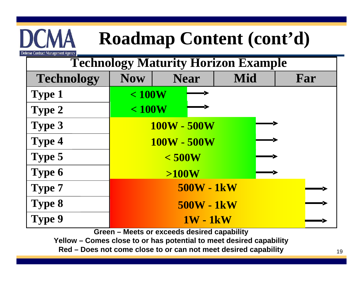| <b>Technology Maturity Horizon Example</b> |                   |             |     |     |
|--------------------------------------------|-------------------|-------------|-----|-----|
| <b>Technology</b>                          | <b>Now</b>        | <b>Near</b> | Mid | Far |
| <b>Type 1</b>                              | < 100W            |             |     |     |
| <b>Type 2</b>                              | < 100W            |             |     |     |
| <b>Type 3</b>                              |                   | 100W - 500W |     |     |
| <b>Type 4</b>                              | 100W - 500W       |             |     |     |
| <b>Type 5</b>                              | < 500W            |             |     |     |
| Type 6                                     | >100W             |             |     |     |
| <b>Type 7</b>                              | <b>500W - 1kW</b> |             |     |     |
| <b>Type 8</b>                              | <b>500W - 1kW</b> |             |     |     |
| Type 9                                     | <b>1W - 1kW</b>   |             |     |     |

Defense Contract Management Agency

**Green – Meets or exceeds desired capability**

**Yellow – Comes close to or has potential to meet desired capability**

**Red – Does not come close to or can not meet desired capability**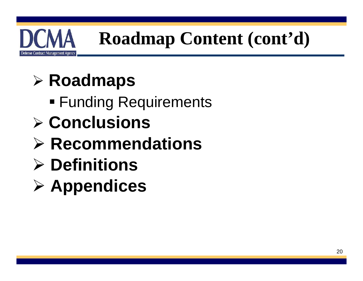

#### **Roadmaps**

- Funding Requirements
- **Conclusions**
- **Recommendations**
- **Definitions**
- **Appendices**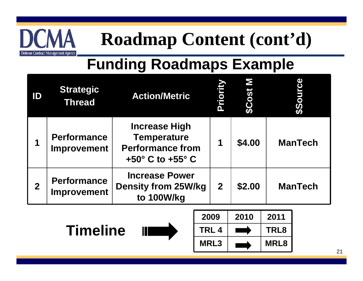

#### **Funding Roadmaps Example**

| ID             | <b>Strategic</b><br><b>Thread</b>        | <b>Action/Metric</b>                                                                                        | Priority       | \$Cost | \$50           |
|----------------|------------------------------------------|-------------------------------------------------------------------------------------------------------------|----------------|--------|----------------|
| 1              | <b>Performance</b><br><b>Improvement</b> | <b>Increase High</b><br><b>Temperature</b><br><b>Performance from</b><br>$+50^{\circ}$ C to $+55^{\circ}$ C | 1              | \$4.00 | <b>ManTech</b> |
| $\overline{2}$ | <b>Performance</b><br><b>Improvement</b> | <b>Increase Power</b><br><b>Density from 25W/kg</b><br>to 100W/kg                                           | $\overline{2}$ | \$2.00 | <b>ManTech</b> |



| 2009        | 2010 | 2011        |
|-------------|------|-------------|
| TRL 4       |      | TRL8        |
| <b>MRL3</b> |      | <b>MRL8</b> |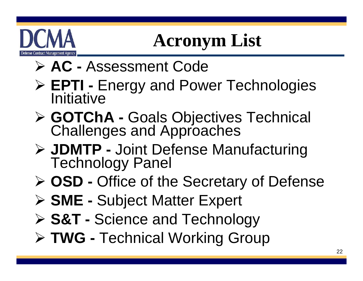# etense Contract Management Agency

# **Acronym List**

- **AC** Assessment Code
- **► EPTI Energy and Power Technologies**<br>Initiative
- **GOTChA** Goals Objectives Technical Challenges and Approaches
- **JDMTP** Joint Defense Manufacturing Technology Panel
- **OSD** Office of the Secretary of Defense
- **SME** Subject Matter Expert
- **S&T** Science and Technology
- **TWG** Technical Working Group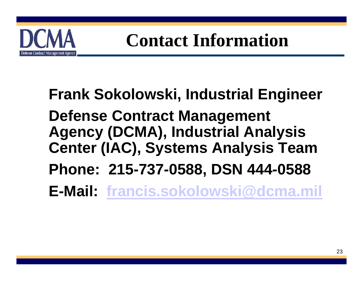

#### **Contact Information**

#### **Frank Sokolowski, Industrial Engineer Defense Contract Management Agency (DCMA), Industrial Analysis Center (IAC), Systems Analysis Team Phone: 215-737-0588, DSN 444-0588 E-Mail: [francis.sokolowski@dcma.mil](mailto:francis.sokolowski@dcma.mil)**